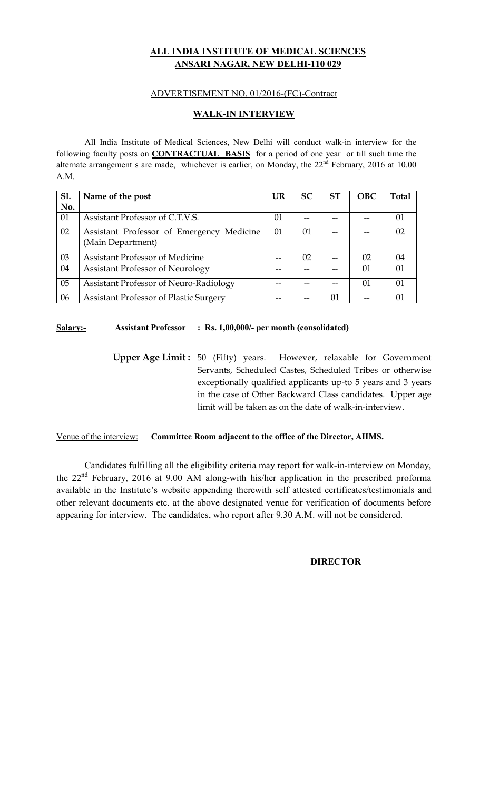# **ALL INDIA INSTITUTE OF MEDICAL SCIENCES ANSARI NAGAR, NEW DELHI-110 029**

## ADVERTISEMENT NO. 01/2016-(FC)-Contract

## **WALK-IN INTERVIEW**

All India Institute of Medical Sciences, New Delhi will conduct walk-in interview for the following faculty posts on **CONTRACTUAL BASIS** for a period of one year or till such time the alternate arrangement s are made, whichever is earlier, on Monday, the  $22<sup>nd</sup>$  February, 2016 at 10.00 A.M.

| Sl. | Name of the post                              | UR | <b>SC</b> | <b>ST</b> | <b>OBC</b> | Total |
|-----|-----------------------------------------------|----|-----------|-----------|------------|-------|
| No. |                                               |    |           |           |            |       |
| 01  | Assistant Professor of C.T.V.S.               | 01 |           |           |            | 01    |
| 02  | Assistant Professor of Emergency Medicine     | 01 | 01        |           |            | 02    |
|     | (Main Department)                             |    |           |           |            |       |
| 03  | <b>Assistant Professor of Medicine</b>        |    | 02        |           | 02         | 04    |
| 04  | <b>Assistant Professor of Neurology</b>       |    |           |           | 01         | 01    |
| 05  | Assistant Professor of Neuro-Radiology        |    |           |           | 01         | 01    |
| 06  | <b>Assistant Professor of Plastic Surgery</b> |    |           | 01        |            |       |

## **Salary:- Assistant Professor : Rs. 1,00,000/- per month (consolidated)**

**Upper Age Limit :** 50 (Fifty) years. However, relaxable for Government Servants, Scheduled Castes, Scheduled Tribes or otherwise exceptionally qualified applicants up-to 5 years and 3 years in the case of Other Backward Class candidates. Upper age limit will be taken as on the date of walk-in-interview.

#### Venue of the interview: **Committee Room adjacent to the office of the Director, AIIMS.**

 Candidates fulfilling all the eligibility criteria may report for walk-in-interview on Monday, the 22nd February, 2016 at 9.00 AM along-with his/her application in the prescribed proforma available in the Institute's website appending therewith self attested certificates/testimonials and other relevant documents etc. at the above designated venue for verification of documents before appearing for interview. The candidates, who report after 9.30 A.M. will not be considered.

## **DIRECTOR**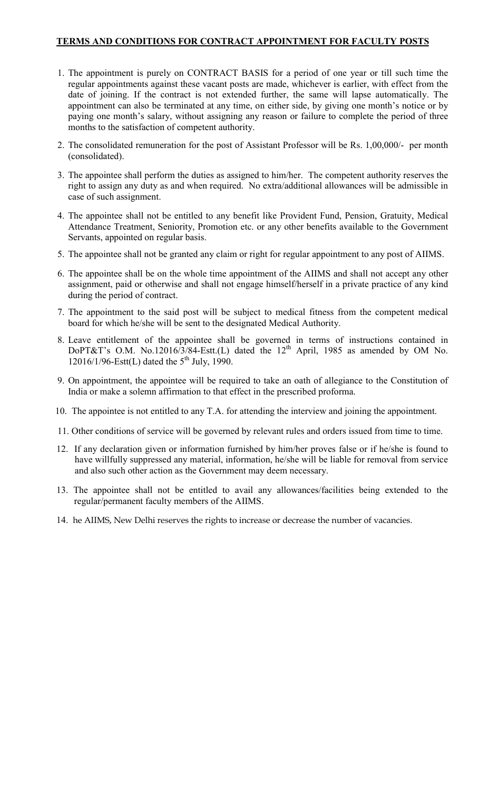## **TERMS AND CONDITIONS FOR CONTRACT APPOINTMENT FOR FACULTY POSTS**

- 1. The appointment is purely on CONTRACT BASIS for a period of one year or till such time the regular appointments against these vacant posts are made, whichever is earlier, with effect from the date of joining. If the contract is not extended further, the same will lapse automatically. The appointment can also be terminated at any time, on either side, by giving one month's notice or by paying one month's salary, without assigning any reason or failure to complete the period of three months to the satisfaction of competent authority.
- 2. The consolidated remuneration for the post of Assistant Professor will be Rs. 1,00,000/- per month (consolidated).
- 3. The appointee shall perform the duties as assigned to him/her. The competent authority reserves the right to assign any duty as and when required. No extra/additional allowances will be admissible in case of such assignment.
- 4. The appointee shall not be entitled to any benefit like Provident Fund, Pension, Gratuity, Medical Attendance Treatment, Seniority, Promotion etc. or any other benefits available to the Government Servants, appointed on regular basis.
- 5. The appointee shall not be granted any claim or right for regular appointment to any post of AIIMS.
- 6. The appointee shall be on the whole time appointment of the AIIMS and shall not accept any other assignment, paid or otherwise and shall not engage himself/herself in a private practice of any kind during the period of contract.
- 7. The appointment to the said post will be subject to medical fitness from the competent medical board for which he/she will be sent to the designated Medical Authority.
- 8. Leave entitlement of the appointee shall be governed in terms of instructions contained in DoPT&T's O.M. No.12016/3/84-Estt.(L) dated the  $12<sup>th</sup>$  April, 1985 as amended by OM No. 12016/1/96-Estt(L) dated the  $5^{th}$  July, 1990.
- 9. On appointment, the appointee will be required to take an oath of allegiance to the Constitution of India or make a solemn affirmation to that effect in the prescribed proforma.
- 10. The appointee is not entitled to any T.A. for attending the interview and joining the appointment.
- 11. Other conditions of service will be governed by relevant rules and orders issued from time to time.
- 12. If any declaration given or information furnished by him/her proves false or if he/she is found to have willfully suppressed any material, information, he/she will be liable for removal from service and also such other action as the Government may deem necessary.
- 13. The appointee shall not be entitled to avail any allowances/facilities being extended to the regular/permanent faculty members of the AIIMS.
- 14. he AIIMS, New Delhi reserves the rights to increase or decrease the number of vacancies.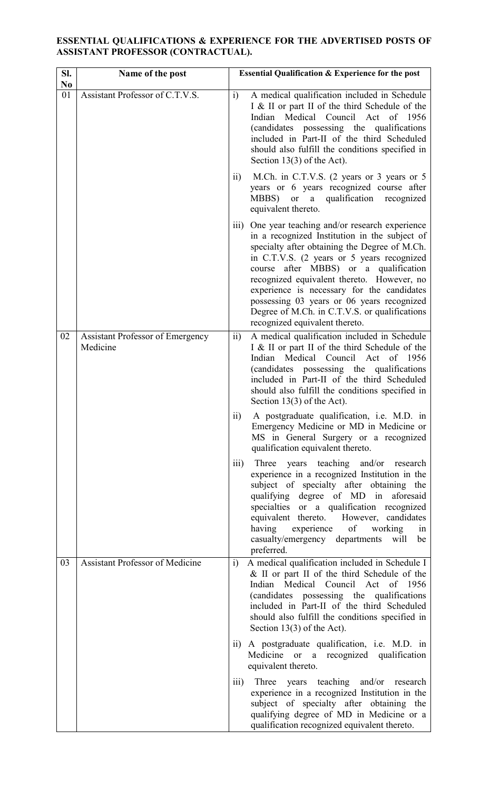## **ESSENTIAL QUALIFICATIONS & EXPERIENCE FOR THE ADVERTISED POSTS OF ASSISTANT PROFESSOR (CONTRACTUAL).**

| SI.<br>N <sub>0</sub> | Name of the post                                    | <b>Essential Qualification &amp; Experience for the post</b>                                                                                                                                                                                                                                                                                                                                                                                                               |
|-----------------------|-----------------------------------------------------|----------------------------------------------------------------------------------------------------------------------------------------------------------------------------------------------------------------------------------------------------------------------------------------------------------------------------------------------------------------------------------------------------------------------------------------------------------------------------|
| 01                    | Assistant Professor of C.T.V.S.                     | A medical qualification included in Schedule<br>$\ddot{i}$<br>I & II or part II of the third Schedule of the<br>Indian Medical Council Act of 1956<br>(candidates possessing the qualifications<br>included in Part-II of the third Scheduled<br>should also fulfill the conditions specified in<br>Section $13(3)$ of the Act).                                                                                                                                           |
|                       |                                                     | M.Ch. in C.T.V.S. (2 years or 3 years or 5<br>$\ddot{\text{1}}$<br>years or 6 years recognized course after<br>MBBS)<br>a qualification recognized<br><b>or</b><br>equivalent thereto.                                                                                                                                                                                                                                                                                     |
|                       |                                                     | One year teaching and/or research experience<br>111)<br>in a recognized Institution in the subject of<br>specialty after obtaining the Degree of M.Ch.<br>in C.T.V.S. (2 years or 5 years recognized<br>course after MBBS) or a qualification<br>recognized equivalent thereto. However, no<br>experience is necessary for the candidates<br>possessing 03 years or 06 years recognized<br>Degree of M.Ch. in C.T.V.S. or qualifications<br>recognized equivalent thereto. |
| 02                    | <b>Assistant Professor of Emergency</b><br>Medicine | $\overline{ii}$<br>A medical qualification included in Schedule<br>I & II or part II of the third Schedule of the<br>Medical<br>Council Act<br>Indian<br>of 1956<br>(candidates possessing the qualifications)<br>included in Part-II of the third Scheduled<br>should also fulfill the conditions specified in<br>Section $13(3)$ of the Act).                                                                                                                            |
|                       |                                                     | A postgraduate qualification, i.e. M.D. in<br>$\overline{11}$ )<br>Emergency Medicine or MD in Medicine or<br>MS in General Surgery or a recognized<br>qualification equivalent thereto.                                                                                                                                                                                                                                                                                   |
|                       |                                                     | Three years teaching and/or research<br>$\overline{iii}$<br>experience in a recognized Institution in the<br>subject of specialty after obtaining the<br>qualifying degree of MD in aforesaid<br>specialties or a qualification recognized<br>equivalent thereto. However, candidates<br>having experience of<br>working<br>in<br>casualty/emergency departments will be<br>preferred.                                                                                     |
| 03                    | <b>Assistant Professor of Medicine</b>              | A medical qualification included in Schedule I<br>i)<br>& II or part II of the third Schedule of the<br>Indian Medical Council Act of 1956<br>(candidates possessing the qualifications<br>included in Part-II of the third Scheduled<br>should also fulfill the conditions specified in<br>Section $13(3)$ of the Act).                                                                                                                                                   |
|                       |                                                     | ii) A postgraduate qualification, i.e. M.D. in<br>Medicine or a recognized qualification<br>equivalent thereto.                                                                                                                                                                                                                                                                                                                                                            |
|                       |                                                     | Three years teaching and/or research<br>$\overline{111}$ )<br>experience in a recognized Institution in the<br>subject of specialty after obtaining the<br>qualifying degree of MD in Medicine or a<br>qualification recognized equivalent thereto.                                                                                                                                                                                                                        |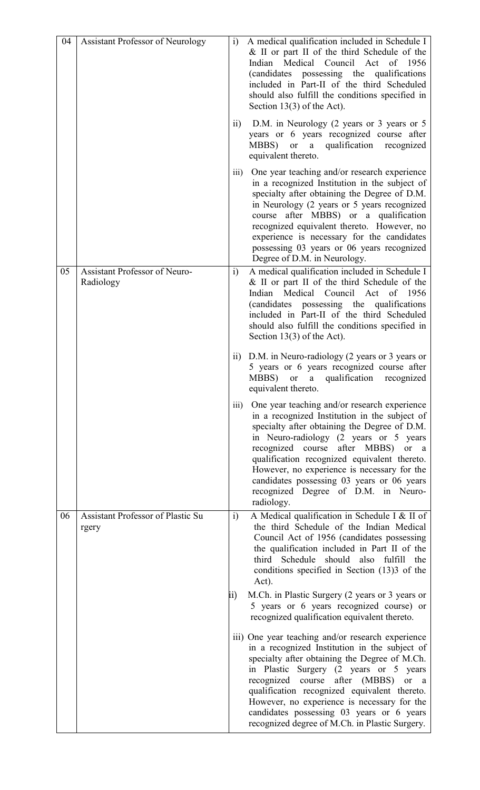| 04 | <b>Assistant Professor of Neurology</b>           | $\ddot{1}$        | A medical qualification included in Schedule I<br>& II or part II of the third Schedule of the<br>Medical<br>Council<br>Indian<br>Act<br>of 1956<br>(candidates possessing the qualifications<br>included in Part-II of the third Scheduled<br>should also fulfill the conditions specified in<br>Section $13(3)$ of the Act).                                                                                                                          |
|----|---------------------------------------------------|-------------------|---------------------------------------------------------------------------------------------------------------------------------------------------------------------------------------------------------------------------------------------------------------------------------------------------------------------------------------------------------------------------------------------------------------------------------------------------------|
|    |                                                   | $\overline{11}$ ) | D.M. in Neurology (2 years or 3 years or 5<br>years or 6 years recognized course after<br>qualification recognized<br>MBBS) or a<br>equivalent thereto.                                                                                                                                                                                                                                                                                                 |
|    |                                                   | $\overline{iii}$  | One year teaching and/or research experience<br>in a recognized Institution in the subject of<br>specialty after obtaining the Degree of D.M.<br>in Neurology (2 years or 5 years recognized<br>course after MBBS) or a qualification<br>recognized equivalent thereto. However, no<br>experience is necessary for the candidates<br>possessing 03 years or 06 years recognized<br>Degree of D.M. in Neurology.                                         |
| 05 | Assistant Professor of Neuro-<br>Radiology        | i)                | A medical qualification included in Schedule I<br>& II or part II of the third Schedule of the<br>Medical Council<br>Act<br>Indian<br>of 1956<br>(candidates possessing the qualifications<br>included in Part-II of the third Scheduled<br>should also fulfill the conditions specified in<br>Section $13(3)$ of the Act).                                                                                                                             |
|    |                                                   | $\overline{11}$   | D.M. in Neuro-radiology (2 years or 3 years or<br>5 years or 6 years recognized course after<br>MBBS)<br>qualification<br>a<br>recognized<br>or<br>equivalent thereto.                                                                                                                                                                                                                                                                                  |
|    |                                                   | $\overline{iii}$  | One year teaching and/or research experience<br>in a recognized Institution in the subject of<br>specialty after obtaining the Degree of D.M.<br>in Neuro-radiology (2 years or 5 years<br>recognized course after MBBS)<br><b>or</b><br><sub>a</sub><br>qualification recognized equivalent thereto.<br>However, no experience is necessary for the<br>candidates possessing 03 years or 06 years<br>recognized Degree of D.M. in Neuro-<br>radiology. |
| 06 | <b>Assistant Professor of Plastic Su</b><br>rgery | i)                | A Medical qualification in Schedule I & II of<br>the third Schedule of the Indian Medical<br>Council Act of 1956 (candidates possessing<br>the qualification included in Part II of the<br>third Schedule should also fulfill<br>the<br>conditions specified in Section (13)3 of the<br>Act).                                                                                                                                                           |
|    |                                                   | ii)               | M.Ch. in Plastic Surgery (2 years or 3 years or<br>5 years or 6 years recognized course) or<br>recognized qualification equivalent thereto.                                                                                                                                                                                                                                                                                                             |
|    |                                                   |                   | iii) One year teaching and/or research experience<br>in a recognized Institution in the subject of<br>specialty after obtaining the Degree of M.Ch.<br>in Plastic Surgery (2 years or 5 years<br>recognized course after (MBBS)<br><b>or</b><br>a<br>qualification recognized equivalent thereto.<br>However, no experience is necessary for the<br>candidates possessing 03 years or 6 years<br>recognized degree of M.Ch. in Plastic Surgery.         |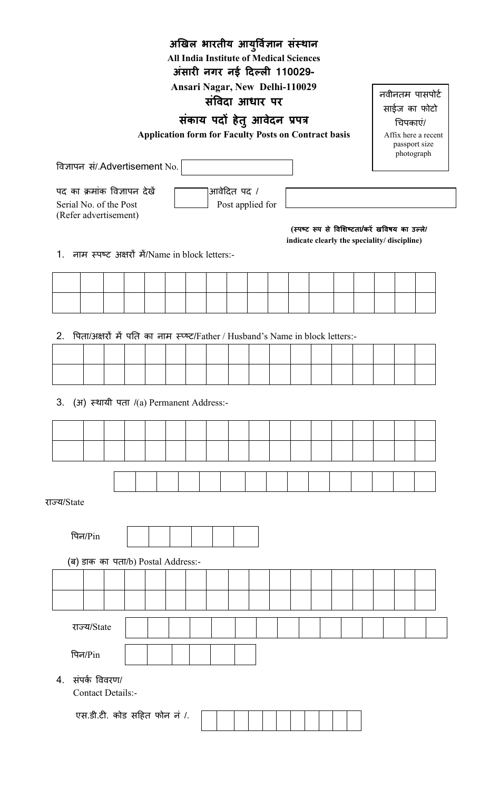| अखिल भारतीय आयुर्विज्ञान संस्थान                                                     |                                                                                                                   |  |  |             |                  |  |  |  |                                               |          |  |
|--------------------------------------------------------------------------------------|-------------------------------------------------------------------------------------------------------------------|--|--|-------------|------------------|--|--|--|-----------------------------------------------|----------|--|
| <b>All India Institute of Medical Sciences</b>                                       |                                                                                                                   |  |  |             |                  |  |  |  |                                               |          |  |
|                                                                                      | अंसारी नगर नई दिल्ली 110029-                                                                                      |  |  |             |                  |  |  |  |                                               |          |  |
|                                                                                      | <b>Ansari Nagar, New Delhi-110029</b><br>नवीनतम पासपोर्ट<br>संविदा आधार पर                                        |  |  |             |                  |  |  |  |                                               |          |  |
|                                                                                      | साईज का फोटो<br>संकाय पदों हेतु आवेदन प्रपत्र                                                                     |  |  |             |                  |  |  |  |                                               |          |  |
|                                                                                      |                                                                                                                   |  |  |             |                  |  |  |  |                                               | चिपकाएं/ |  |
|                                                                                      | <b>Application form for Faculty Posts on Contract basis</b><br>Affix here a recent<br>passport size<br>photograph |  |  |             |                  |  |  |  |                                               |          |  |
|                                                                                      | विज्ञापन सं/.Advertisement No.                                                                                    |  |  |             |                  |  |  |  |                                               |          |  |
| पद का क्रमांक विज्ञापन देखें                                                         |                                                                                                                   |  |  | आवेदित पद / |                  |  |  |  |                                               |          |  |
| Serial No. of the Post                                                               |                                                                                                                   |  |  |             | Post applied for |  |  |  |                                               |          |  |
| (Refer advertisement)                                                                |                                                                                                                   |  |  |             |                  |  |  |  | (स्पष्ट रूप से विशिष्टता/करें खविषय का उल्ले/ |          |  |
|                                                                                      |                                                                                                                   |  |  |             |                  |  |  |  | indicate clearly the speciality/ discipline)  |          |  |
| नाम स्पष्ट अक्षरों में/Name in block letters:-<br>1.                                 |                                                                                                                   |  |  |             |                  |  |  |  |                                               |          |  |
|                                                                                      |                                                                                                                   |  |  |             |                  |  |  |  |                                               |          |  |
|                                                                                      |                                                                                                                   |  |  |             |                  |  |  |  |                                               |          |  |
|                                                                                      |                                                                                                                   |  |  |             |                  |  |  |  |                                               |          |  |
|                                                                                      |                                                                                                                   |  |  |             |                  |  |  |  |                                               |          |  |
| पिता/अक्षरों में पति का नाम स्प्ल्ट/Father / Husband's Name in block letters:-<br>2. |                                                                                                                   |  |  |             |                  |  |  |  |                                               |          |  |
|                                                                                      |                                                                                                                   |  |  |             |                  |  |  |  |                                               |          |  |
|                                                                                      |                                                                                                                   |  |  |             |                  |  |  |  |                                               |          |  |
|                                                                                      |                                                                                                                   |  |  |             |                  |  |  |  |                                               |          |  |
| 3. (अ) स्थायी पता /(a) Permanent Address:-                                           |                                                                                                                   |  |  |             |                  |  |  |  |                                               |          |  |
|                                                                                      |                                                                                                                   |  |  |             |                  |  |  |  |                                               |          |  |
|                                                                                      |                                                                                                                   |  |  |             |                  |  |  |  |                                               |          |  |
|                                                                                      |                                                                                                                   |  |  |             |                  |  |  |  |                                               |          |  |
|                                                                                      |                                                                                                                   |  |  |             |                  |  |  |  |                                               |          |  |
|                                                                                      |                                                                                                                   |  |  |             |                  |  |  |  |                                               |          |  |
| राज्य/State                                                                          |                                                                                                                   |  |  |             |                  |  |  |  |                                               |          |  |
|                                                                                      |                                                                                                                   |  |  |             |                  |  |  |  |                                               |          |  |
| पिन $/P$ in                                                                          |                                                                                                                   |  |  |             |                  |  |  |  |                                               |          |  |
| (ब) डाक का पता/b) Postal Address:-                                                   |                                                                                                                   |  |  |             |                  |  |  |  |                                               |          |  |
|                                                                                      |                                                                                                                   |  |  |             |                  |  |  |  |                                               |          |  |
|                                                                                      |                                                                                                                   |  |  |             |                  |  |  |  |                                               |          |  |
|                                                                                      |                                                                                                                   |  |  |             |                  |  |  |  |                                               |          |  |
| राज्य/State                                                                          |                                                                                                                   |  |  |             |                  |  |  |  |                                               |          |  |
| ਧਿੇ <sub>ਰ</sub> /Pin                                                                |                                                                                                                   |  |  |             |                  |  |  |  |                                               |          |  |
| Contact Details:-                                                                    | 4. संपर्क विवरण/                                                                                                  |  |  |             |                  |  |  |  |                                               |          |  |
|                                                                                      |                                                                                                                   |  |  |             |                  |  |  |  |                                               |          |  |
| एस.डी.टी. कोड सहित फोन नं /.                                                         |                                                                                                                   |  |  |             |                  |  |  |  |                                               |          |  |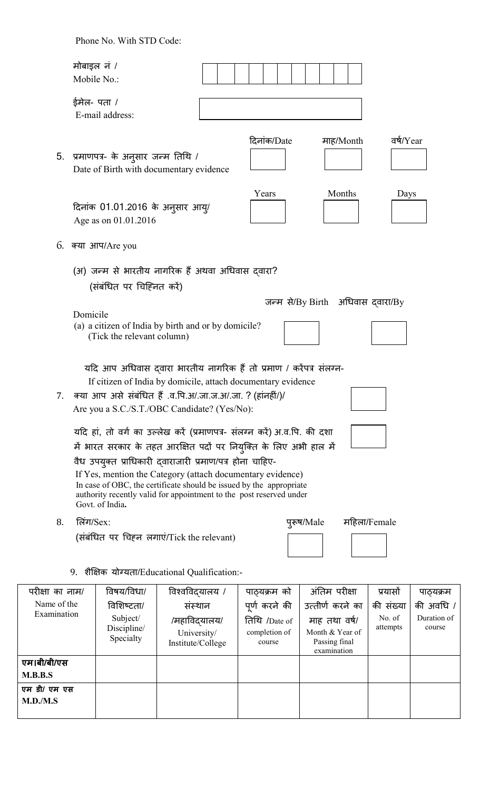Phone No. With STD Code:

|    | मोबाइल नं /<br>Mobile No.:                                                                                                                                                                                                                                                                                                                                                                                                                |             |                                   |              |
|----|-------------------------------------------------------------------------------------------------------------------------------------------------------------------------------------------------------------------------------------------------------------------------------------------------------------------------------------------------------------------------------------------------------------------------------------------|-------------|-----------------------------------|--------------|
|    | ईमेल- पता /<br>E-mail address:                                                                                                                                                                                                                                                                                                                                                                                                            |             |                                   |              |
| 5. | प्रमाणपत्र- के अनुसार जन्म तिथि /<br>Date of Birth with documentary evidence                                                                                                                                                                                                                                                                                                                                                              | दिनांक/Date | माह/Month                         | वर्ष/Year    |
|    | दिनांक 01.01.2016 के अनुसार आयु/<br>Age as on 01.01.2016                                                                                                                                                                                                                                                                                                                                                                                  | Years       | Months                            | Days         |
|    | 6. क्या आप/Are you                                                                                                                                                                                                                                                                                                                                                                                                                        |             |                                   |              |
|    | (अ) जन्म से भारतीय नागरिक हैं अथवा अधिवास दवारा?<br>(संबंधित पर चिहिनत करें)                                                                                                                                                                                                                                                                                                                                                              |             |                                   |              |
|    | Domicile<br>(a) a citizen of India by birth and or by domicile?<br>(Tick the relevant column)                                                                                                                                                                                                                                                                                                                                             |             | जन्म से/By Birth अधिवास द्वारा/By |              |
| 7. | यदि आप अधिवास दवारा भारतीय नागरिक हैं तो प्रमाण / करेंपत्र संलग्न-<br>If citizen of India by domicile, attach documentary evidence<br>क्या आप असे संबंधित हैं .व.पि.अ/.जा.ज.अ/.जा. ? (हांनहीं/)/<br>Are you a S.C./S.T./OBC Candidate? (Yes/No):                                                                                                                                                                                          |             |                                   |              |
|    | यदि हां, तो वर्ग का उल्लेख करें (प्रमाणपत्र- संलग्न करें) अ.व.पि. की दशा<br>में भारत सरकार के तहत आरक्षित पदों पर नियुक्ति के लिए अभी हाल में<br>वैध उपयुक्त प्राधिकारी द्वाराजारी प्रमाण/पत्र होना चाहिए-<br>If Yes, mention the Category (attach documentary evidence)<br>In case of OBC, the certificate should be issued by the appropriate<br>authority recently valid for appointment to the post reserved under<br>Govt. of India. |             |                                   |              |
| 8. | लिंग/ $Sex$ :                                                                                                                                                                                                                                                                                                                                                                                                                             | पुरूष/Male  |                                   | महिला/Female |
|    | (संबंधित पर चिहन लगाएं/Tick the relevant)                                                                                                                                                                                                                                                                                                                                                                                                 |             |                                   |              |
|    | 9. शैक्षिक योग्यता/Educational Qualification:-                                                                                                                                                                                                                                                                                                                                                                                            |             |                                   |              |

| परीक्षा का नाम/ | विषय/विधा/                           | विश्वविदयालय /                                   | पाठ्यक्रम को                             | अंतिम परीक्षा                                                    | प्रयासों           | पाठ्यक्रम             |
|-----------------|--------------------------------------|--------------------------------------------------|------------------------------------------|------------------------------------------------------------------|--------------------|-----------------------|
| Name of the     | विशिष्टता/                           | संस्थान                                          | पूर्ण करने की                            | उत्तीर्ण करने का                                                 | की संख्या          | की अवधि /             |
| Examination     | Subject/<br>Discipline/<br>Specialty | /महाविदयालय/<br>University/<br>Institute/College | तिथि /Date of<br>completion of<br>course | माह तथा वर्ष/<br>Month & Year of<br>Passing final<br>examination | No. of<br>attempts | Duration of<br>course |
| एम।बी/बी/एस     |                                      |                                                  |                                          |                                                                  |                    |                       |
| M.B.B.S         |                                      |                                                  |                                          |                                                                  |                    |                       |
| एम डी/ एम एस    |                                      |                                                  |                                          |                                                                  |                    |                       |
| M.D./M.S        |                                      |                                                  |                                          |                                                                  |                    |                       |
|                 |                                      |                                                  |                                          |                                                                  |                    |                       |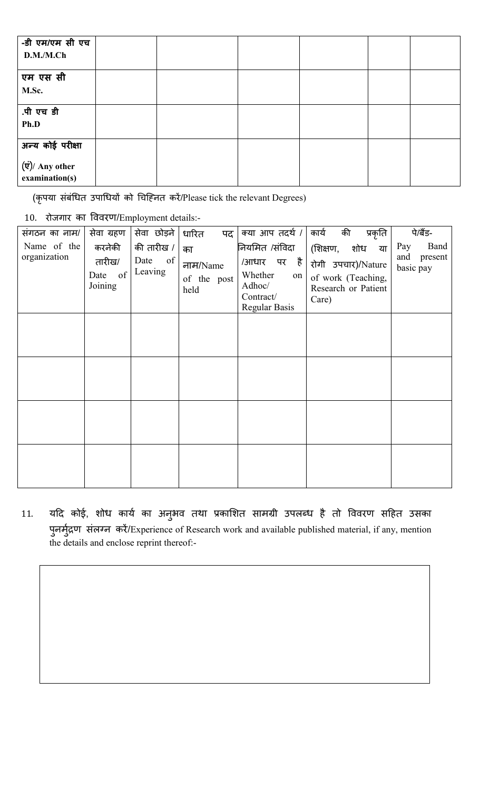| -डी एम/एम सी एच         |  |  |  |
|-------------------------|--|--|--|
| D.M./M.Ch               |  |  |  |
|                         |  |  |  |
| एम एस सी                |  |  |  |
| M.Sc.                   |  |  |  |
|                         |  |  |  |
| .पी एच डी               |  |  |  |
| Ph.D                    |  |  |  |
|                         |  |  |  |
| अन्य कोई परीक्षा        |  |  |  |
|                         |  |  |  |
| $(\vec{v})$ / Any other |  |  |  |
| examination(s)          |  |  |  |

(कृपया संबंधित उपाधियों को चिहिनत करें/Please tick the relevant Degrees)

10. रोजगार का ववरण/Employment details:-

| संगठन का नाम/               | सेवा ग्रहण                                | सेवा छोड़ने                         | धारित<br>पद                           | क्या आप तदर्थ /                                                                        | की<br>कार्य<br>प्रकृति                                                                         | पे/बैंड-                                   |
|-----------------------------|-------------------------------------------|-------------------------------------|---------------------------------------|----------------------------------------------------------------------------------------|------------------------------------------------------------------------------------------------|--------------------------------------------|
| Name of the<br>organization | करनेकी<br>तारीख/<br>of<br>Date<br>Joining | की तारीख /<br>Date<br>of<br>Leaving | का<br>नाम/Name<br>of the post<br>held | नियमित /संविदा<br>/आधार पर है<br>Whether<br>on<br>Adhoc/<br>Contract/<br>Regular Basis | (शिक्षण,<br>शोध या<br>रोगी उपचार)/Nature<br>of work (Teaching,<br>Research or Patient<br>Care) | Pay<br>Band<br>and<br>present<br>basic pay |
|                             |                                           |                                     |                                       |                                                                                        |                                                                                                |                                            |
|                             |                                           |                                     |                                       |                                                                                        |                                                                                                |                                            |
|                             |                                           |                                     |                                       |                                                                                        |                                                                                                |                                            |
|                             |                                           |                                     |                                       |                                                                                        |                                                                                                |                                            |

11. यदि कोई, शोध कार्य का अनुभव तथा प्रकाशित सामग्री उपलब्ध है तो विवरण सहित उसका पुनमुद्रण संलग्न करे/Experience of Research work and available published material, if any, mention the details and enclose reprint thereof:-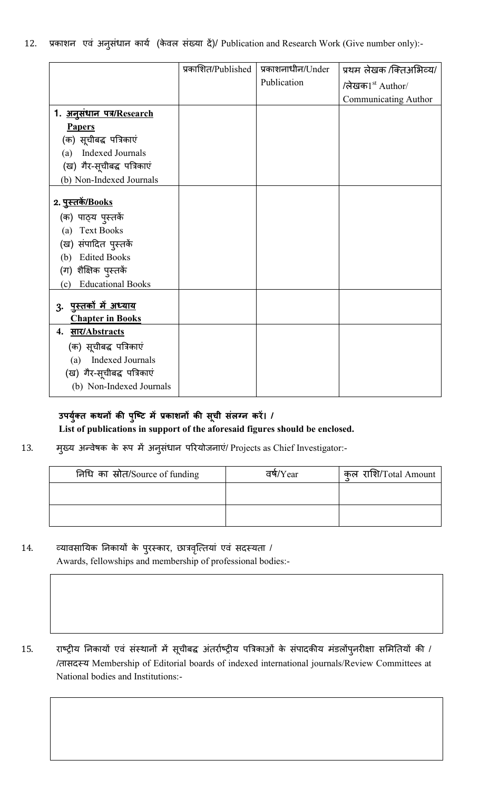|  |  |  |  |  |  |  |  | 12. प्रकाशन एवं अनुसंधान कार्य (केवल संख्या दें)/ Publication and Research Work (Give number only):- |  |  |  |
|--|--|--|--|--|--|--|--|------------------------------------------------------------------------------------------------------|--|--|--|
|--|--|--|--|--|--|--|--|------------------------------------------------------------------------------------------------------|--|--|--|

|                                 | प्रकाशित/Published | प्रकाशनाधीन/Under | प्रथम लेखक /क्तिअभिव्य/     |
|---------------------------------|--------------------|-------------------|-----------------------------|
|                                 |                    | Publication       | /लेखक $1^{\rm st}$ Author/  |
|                                 |                    |                   | <b>Communicating Author</b> |
| 1. अनुसंधान पत्र/Research       |                    |                   |                             |
| <b>Papers</b>                   |                    |                   |                             |
| (क) सूचीबद्ध पत्रिकाएं          |                    |                   |                             |
| Indexed Journals<br>(a)         |                    |                   |                             |
| (ख) गैर-सूचीबद्ध पत्रिकाएं      |                    |                   |                             |
| (b) Non-Indexed Journals        |                    |                   |                             |
|                                 |                    |                   |                             |
| <u> २. पुस्तकें/Books</u>       |                    |                   |                             |
| (क) पाठ्य पुस्तकें              |                    |                   |                             |
| <b>Text Books</b><br>(a)        |                    |                   |                             |
| (ख) संपादित पुस्तकें            |                    |                   |                             |
| <b>Edited Books</b><br>(b)      |                    |                   |                             |
| (ग) शैक्षिक पुस्तकें            |                    |                   |                             |
| <b>Educational Books</b><br>(c) |                    |                   |                             |
|                                 |                    |                   |                             |
| <u>3. पुस्तकों में अध्याय</u>   |                    |                   |                             |
| <b>Chapter in Books</b>         |                    |                   |                             |
| 4. सार/Abstracts                |                    |                   |                             |
| (क) सूचीबद्ध पत्रिकाएं          |                    |                   |                             |
| Indexed Journals<br>(a)         |                    |                   |                             |
| (ख) गैर-सूचीबद्ध पत्रिकाएं      |                    |                   |                             |
| (b) Non-Indexed Journals        |                    |                   |                             |

# **उपयु त कथन क पिट म काशन क स ु ची संल न ू कर। / List of publications in support of the aforesaid figures should be enclosed.**

13. मुख्य अन्वेषक के रूप में अनुसंधान परियोजनाएं/ Projects as Chief Investigator:-

| निधि का स्रोत/Source of funding | वर्षे/Year | कल राशि/Total Amount |
|---------------------------------|------------|----------------------|
|                                 |            |                      |
|                                 |            |                      |

14. व्यावसायिक निकायों के पुरस्कार, छात्रवृत्तियां एवं सदस्यता / Awards, fellowships and membership of professional bodies:-

 $\overline{a}$ 

15. राष्ट्रीय निकायों एवं संस्थानों में सूचीबद्ध अंतर्राष्ट्रीय पत्रिकाओं के संपादकीय मंडलोंपुनरीक्षा समितियों की / /तासद य Membership of Editorial boards of indexed international journals/Review Committees at National bodies and Institutions:-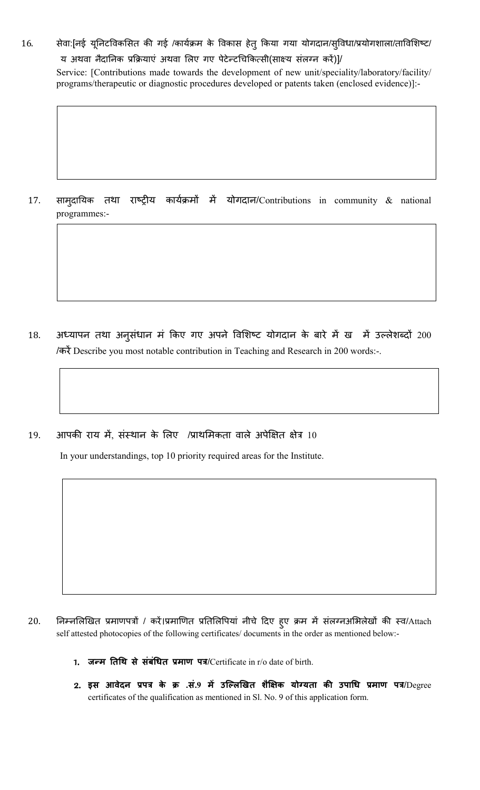16. सेवा:[नई यूनिटविकसित की गई /कार्यक्रम के विकास हेतु किया गया योगदान/सुविधा/प्रयोगशाला/ताविशिष्ट/ य अथवा नैदानिक प्रक्रियाएं अथवा लिए गए पेटेन्टचिकित्सी(साक्ष्य संलग्न करें)]/

Service: [Contributions made towards the development of new unit/speciality/laboratory/facility/ programs/therapeutic or diagnostic procedures developed or patents taken (enclosed evidence)]:-

17. सामदायिक तथा राष्ट्रीय कार्यक्रमों में योगदान/Contributions in community  $\&$  national programmes:-

- 18. अध्यापन तथा अनुसंधान मं किए गए अपने विशिष्ट योगदान के बारे में ख में उल्लेशब्दो 200 /करें Describe you most notable contribution in Teaching and Research in 200 words:-.
- 19. आपकी राय में, संस्थान के लिए /प्राथमिकता वाले अपेक्षित क्षेत्र 10

In your understandings, top 10 priority required areas for the Institute.

- 20. निम्नलिखित प्रमाणपत्रों / करें।प्रमाणित प्रतिलिपियां नीचे दिए हुए क्रम में संलग्नअभिलेखों की स्व/Attach self attested photocopies of the following certificates/ documents in the order as mentioned below:-
	- 1. **ज म तथ से संबंधत माण प**/Certificate in r/o date of birth.
	- 2. **इस आवेदन प के .सं.<sup>9</sup> म उिलखत शैक यो यता क उपाध माण प**/Degree certificates of the qualification as mentioned in Sl. No. 9 of this application form.